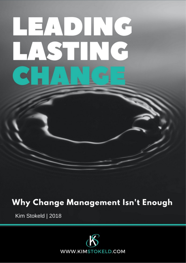# HEADING  $\pmb{\Lambda}$

# Why Change Management Isn't Enough

Kim Stokeld | 2018

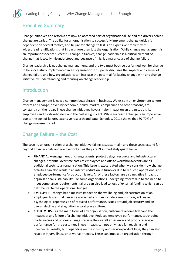# Executive Summary

Change initiatives and reforms are now an accepted part of organisational life and the drivers behind change are varied. The ability for an organisation to successfully implement change quickly is dependent on several factors, and failure for change to last is an expensive problem with widespread ramifications that impact more than just the organisation. While change management is an important aspect of successful change initiatives, change leadership is a critical element of change that is totally misunderstood and because of this, is a major cause of change failure.

Change leadership is not change management, and the two must both be performed well for change to be successfully implemented in an organisation. This paper discusses the impacts and causes of change failure and how organisations can increase the potential for lasting change with any change initiative by understanding and focusing on change leadership.

## **Introduction**

Change management is now a common buzz phrase in business. We exist in an environment where reform and change, driven by economic, policy, market, compliance and other reasons, are constantly on the radar. These change initiatives have a major impact on an organisation, its employees and its stakeholders and the cost is significant. While successful change is an imperative due to the cost of failure, extensive research and data (Schooley, 2011) shows that 60-70% of change movements fail.

# Change Failure – the Cost

The costs to an organisation of a change initiative failing is substantial – and these costs extend far beyond financial costs and are overlooked as they aren't immediately quantifiable.

- **FINANCIAL** engagement of change agents, project delays, resource and infrastructure changes, potential overtime costs of employees and offsite workshops/events are all additional costs to an organisation. This issue is exacerbated when we consider how change activities can also result in an interim reduction in turnover due to reduced operational and employee performance/production levels. All of these factors are also negative impacts on organisational sustainability. For some organisations undergoing reform due to the need to meet compliance requirements, failure can also lead to loss of external funding which can be detrimental to the operational budget.
- **EMPLOYEE** change has a massive impact on the wellbeing and job satisfaction of an employee. Issues that can arise are varied and can include a rise in stress/sick leave, psychological repercussion of reduced performance, issues around job security and an overall decline and stagnation in workplace culture.
- **CUSTOMERS** as the main focus of any organisation, customers receive firsthand the impacts of any failure of a change initiative. Reduced employee performance, touchpoint inadequacies and process changes reduce the overall experience and product/service performance for the customer. These impacts can not only have far-reaching and unexpected results, but depending on the industry and service/product type, they can also result in injury, illness or at worse, tragedy. These can impact an organisation through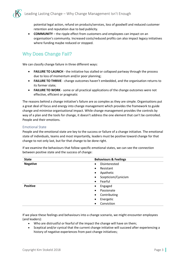potential legal action, refund on products/services, loss of goodwill and reduced customer retention and reputation due to bad publicity.

• **COMMUNITY** – the ripple effect from customers and employees can impact on an organisation's community. Increased costs/reduced profits can also impact legacy initiatives where funding maybe reduced or stopped.

# Why Does Change Fail?

We can classify change failure in three different ways:

- **FAILURE TO LAUNCH** the initiative has stalled or collapsed partway through the process due to loss of momentum and/or poor planning;
- **FAILURE TO THRIVE** change outcomes haven't embedded, and the organisation returns to its former state;
- **FAILURE TO WORK** some or all practical applications of the change outcomes were not effective, efficient or pragmatic

The reasons behind a change initiative's failure are as complex as they are simple. Organisations put a great deal of focus and energy into change management which provides the framework to guide change and minimise organisational impact. While change management provides the controls by way of a plan and the tools for change, it doesn't address the one element that can't be controlled. People and their emotions.

### Emotional State

People and the emotional state are key to the success or failure of a change initiative. The emotional state of individuals, teams and most importantly, leaders must be positive toward change for that change to not only last, but for that change to be done right.

If we examine the behaviours that follow specific emotional states, we can see the connection between positive state and the success of change:

| <b>State</b>    | <b>Behaviours &amp; Feelings</b> |
|-----------------|----------------------------------|
| <b>Negative</b> | Disinterested<br>$\bullet$       |
|                 | Resistant<br>$\bullet$           |
|                 | Apathetic<br>$\bullet$           |
|                 | Scepticism/Cynicism<br>$\bullet$ |
|                 | Fearful<br>$\bullet$             |
| <b>Positive</b> | Engaged<br>$\bullet$             |
|                 | Passionate<br>$\bullet$          |
|                 | Contributing<br>$\bullet$        |
|                 | Energetic<br>$\bullet$           |
|                 | Conviction<br>$\bullet$          |

If we place these feelings and behaviours into a change scenario, we might encounter employees (and leaders):

- Who are distrustful or fearful of the impact the change will have on them;
- Sceptical and/or cynical that the current change initiative will succeed after experiencing a history of negative experiences from past change initiatives;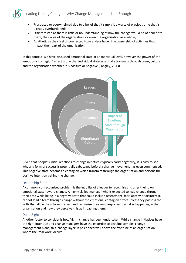- Frustrated or overwhelmed due to a belief that it simply is a waste of precious time that is already overburdened;
- Disinterested as there is little or no understanding of how the change would be of benefit to them, their area of the organisation, or even the organisation as a whole;
- Apathetic as they feel disconnected from and/or have little ownership of activities that impact their part of the organisation.

In this context, we have discussed emotional state at an individual level, however the power of the 'emotional contagion' effect is one that individual state essentially transmits through team, culture and the organisation whether it is positive or negative (Langley, 2013).



Given that people's initial reactions to change initiatives typically carry negativity, it is easy to see why any form of success is potentially sabotaged before a change movement has even commenced. This negative state becomes a contagion which transmits through the organisation and poisons the positive intention behind the change.

### Leadership State

A commonly unrecognised problem is the inability of a leader to recognise and alter their own emotional state toward change. A highly skilled manager who is expected to lead change through their area while being in a negative state that could include resentment, fear, apathy or disinterest, cannot lead a team through change without the emotional contagion effect unless they possess the skills that allow them to self-reflect and recognise their own response to what is happening in the organisation and how they perceive this as impacting them.

### Done Right

Another factor to consider is how 'right' change has been undertaken. While change initiatives have the right intention and change managers have the expertise to develop complex change management plans, this 'change layer' is positioned well above the frontline of an organisation where the 'real work' occurs.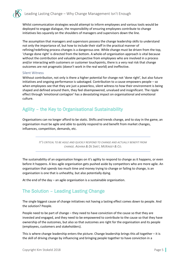Whilst communication strategies would attempt to inform employees and various tools would be deployed to engage dialogue, the responsibility of ensuring employees contribute to change initiatives lies squarely on the shoulders of managers and supervisors down the line.

The assumption that managers and supervisors possess the change leadership skills to understand not only the importance of, but how to include their staff in the practical manner of refining/redefining process changes is a dangerous one. While change must be driven from the top, 'change done right' is directed from the bottom. A whole-of-organisation approach is vital because without the contribution and valuable perspective from employees who are involved in a process and/or interacting with customers or customer touchpoints, there is a very real risk that change outcomes are not pragmatic (doesn't work in the real world) and ineffective.

### Silent Witness

Without contribution, not only is there a higher potential for change not 'done right', but also future initiatives and ongoing performance is sabotaged. Contribution to a cause empowers people – so when employees see that they are just a powerless, silent witness to how their environment is being shaped and defined around them, they feel disempowered, unvalued and insignificant. The ripple effect through 'emotional contagion' has a devastating impact on organisational and emotional culture.

# Agility – the Key to Organisational Sustainability

Organisations can no longer afford to be static. Shifts and trends change, and to stay in the game, an organisation must be agile and able to quickly respond to and benefit from market changes, influences, competition, demands, etc.

> *IT'S CRITICAL TO BE AGILE AND QUICKLY RESPOND TO CHANGE AND ACTUALLY BENEFIT FROM CHANGE. AGHINA & DE SMET, MCKINSEY & CO.*

The sustainability of an organisation hinges on it's agility to respond to change as it happens, or even before it happens. A less agile organisation gets pushed aside by competitors who are more agile. An organisation that spends too much time and money trying to change or failing to change, is an organisation is one that is unhealthy, but also potentially dying.

At the end of the day – an agile organisation is a sustainable organisation.

# The Solution – Leading Lasting Change

The single biggest cause of change initiatives not having a lasting effect comes down to people. And the solution? People.

People need to be part of change – they need to have conviction of the cause so that they are invested and engaged, and they need to be empowered to contribute to the cause so that they have ownership of the outcomes, but also so that outcomes are right for the organisation and its people (employees, customers and stakeholders).

This is where change leadership enters the picture. Change leadership brings this all together – it is the skill of driving change by influencing and bringing people together to have conviction in a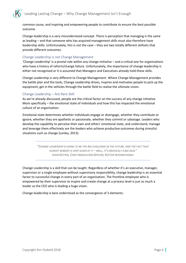

common cause, and inspiring and empowering people to contribute to ensure the best possible outcome.

Change leadership is a very misunderstood concept. There is perception that managing is the same as leading – and that someone who has acquired management skills must also therefore have leadership skills. Unfortunately, this is not the case – they are two totally different skillsets that provide different outcomes.

### Change Leadership is not Change Management

'Change Leadership' is a pivotal role within any change initiative – and a critical one for organisations who have a history of reform/change failure. Unfortunately, the importance of change leadership is either not recognised or it is assumed that Managers and Executives already hold these skills.

Change Leadership is very different to Change Management. Where Change Management provides the battle plan and the tools, Change Leadership drives, inspires and motivates people to pick up the equipment, get in the vehicles through the battle field to realise the ultimate vision.

### Change Leadership – Are Rare Skill

As we're already discussed, people are the critical factor on the success of any change initiative. More specifically – the emotional state of individuals and how this has impacted the emotional culture of an organisation.

Emotional state determines whether individuals engage or disengage, whether they contribute or ignore, whether they are apathetic or passionate, whether they commit or sabotage. Leaders who develop the capability to perceive their own and others' emotional state, and understand, manage and leverage them effectively are the leaders who achieve productive outcomes during stressful situations such as change (Lanley, 2013).

> *"CHANGE LEADERSHIP IS GOING TO BE THE BIG CHALLENGE IN THE FUTURE, AND THE FACT THAT ALMOST NOBODY IS VERY GOOD AT IT – WELL, IT'S OBVIOUSLY A BIG DEAL" JOHN KOTTER, CHIEF INNOVATION OFFICER, KOTTER INTERNATIONAL*

Change Leadership is a skill that can be taught. Regardless of whether it's an executive, manager, supervisor or a single employee without supervisory responsibility, change leadership is an essential factor to successful change in every part of an organisation. The frontline employee who is empowered by their supervisor to inspire and create change at a process level is just as much a leader as the CEO who is leading a huge vision.

Change leadership is best understood as the convergence of 3 elements: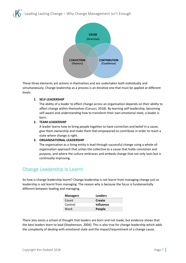Leading Lasting Change – Why Change Management Isn't Enough



These three elements are actions in themselves and are undertaken both individually and simultaneously. Change leadership as a process is an iterative one that must be applied at different levels.

### **1. SELF-LEADERSHIP**

The ability of a leader to effect change across an organisation depends on their ability to affect change within themselves (Carucci, 2018). By learning self-leadership, becoming self-aware and understanding how to transform their own emotional state, a leader is born.

### **2. TEAM-LEADERSHIP**

A leader learns how to bring people together to have conviction and belief in a cause, give them ownership and make them feel empowered to contribute in order to reach a state where change is right.

### **3. ORGANISATIONAL-LEADERSHIP**

The organisation as a living entity is lead through successful change using a whole-oforganisation approach that unites the collective to a cause that holds conviction and purpose, and where the culture embraces and embeds change that not only lasts but is continually improving.

### Change Leadership Is Learnt

So how is change leadership learnt? Change leadership is not learnt from managing change just as leadership is not learnt from managing. The reason why is because the focus is fundamentally different between leading and managing.

| <b>Managers</b> | <b>Leaders</b>   |
|-----------------|------------------|
| Count           | Create           |
| Control         | <b>Influence</b> |
| Work            | People           |

There also exists a school of thought that leaders are born and not made, but evidence shows that the best leaders learn to lead (Stephenson, 2004). This is also true for change leadership which adds the complexity of dealing with emotional state and the impact/requirement of a change cause.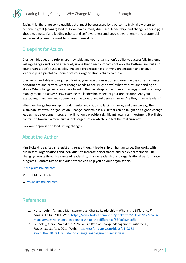Saying this, there are some qualities that must be possessed by a person to truly allow them to become a great (change) leader. As we have already discussed, leadership (and change leadership) is about leading self and leading others, and self-awareness and people awareness – and a potential leader must possess or want to possess these skills.

# Blueprint for Action

Change initiatives and reform are inevitable and your organisation's ability to successfully implement lasting change quickly and effectively is one that directly impacts not only the bottom line, but also your organisation's sustainability. An agile organisation is a thriving organisation and change leadership is a pivotal component of your organisation's ability to thrive.

Change is inevitable and required. Look at your own organisation and examine the current climate, performance and drivers. What change needs to occur right now? What reforms are pending or likely? What change initiatives have failed in the past despite the focus and energy spent on change management initiatives? Now examine the leadership aspect of your organisation. Are your executives, managers and supervisors able to lead and influence change? Are they change leaders?

Effective change leadership is fundamental and critical to lasting change, and dare we say, the sustainability of your organisation. Change leadership is a skill that can be taught and a good change leadership development program will not only provide a significant return on investment, it will also contribute towards a more sustainable organisation which is in fact the real currency.

Can your organisation lead lasting change?

# About the Author

Kim Stokeld is a gifted strategist and runs a thought leadership on human value. She works with businesses, organisations and individuals to increase performance and achieve sustainable, lifechanging results through a range of leadership, change leadership and organisational performance programs. Contact Kim to find out how she can help you or your organisation.

E: [me@kimstokeld.com](mailto:me@kimstokeld.com)

M: + 61 416 261 336

W: [www.kimstokeld.com](http://www.kimstokeld.com/)

# **References**

- 1. Kotter, John. "Change Management vs. Change Leadership What's the Difference?", *Forbes*, 12 Jul. 2011. Web[. https://www.forbes.com/sites/johnkotter/2011/07/12/change](https://www.forbes.com/sites/johnkotter/2011/07/12/change-management-vs-change-leadership-whats-the-difference/#6fbc7d24cc6b)[management-vs-change-leadership-whats-the-difference/#6fbc7d24cc6b](https://www.forbes.com/sites/johnkotter/2011/07/12/change-management-vs-change-leadership-whats-the-difference/#6fbc7d24cc6b)
- 2. Schooley, Claire. "Avoid the 70 % Failure Rate of Change Management Initiatives", *Forresters*, 31 Aug. 2011. Web. [https://go.forrester.com/blogs/11-08-31](https://go.forrester.com/blogs/11-08-31-avoid_the_70_failure_rate_of_change_management_initiatives/) [avoid\\_the\\_70\\_failure\\_rate\\_of\\_change\\_management\\_initiatives/](https://go.forrester.com/blogs/11-08-31-avoid_the_70_failure_rate_of_change_management_initiatives/)